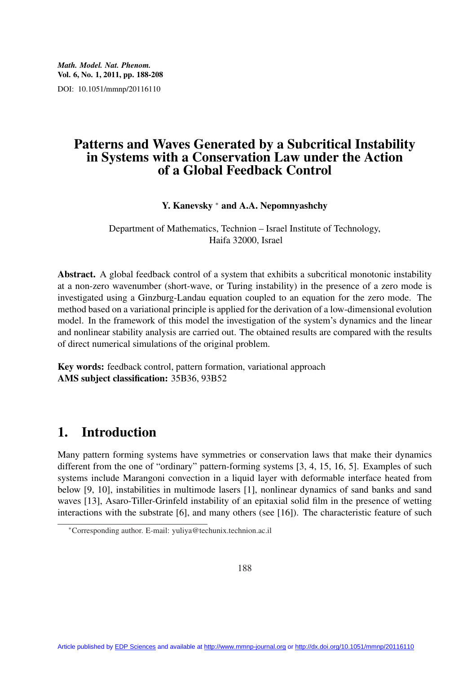*Math. Model. Nat. Phenom.* Vol. 6, No. 1, 2011, pp. 188-208 DOI: 10.1051/mmnp/20116110

## Patterns and Waves Generated by a Subcritical Instability in Systems with a Conservation Law under the Action of a Global Feedback Control

Y. Kanevsky <sup>∗</sup> and A.A. Nepomnyashchy

Department of Mathematics, Technion – Israel Institute of Technology, Haifa 32000, Israel

Abstract. A global feedback control of a system that exhibits a subcritical monotonic instability at a non-zero wavenumber (short-wave, or Turing instability) in the presence of a zero mode is investigated using a Ginzburg-Landau equation coupled to an equation for the zero mode. The method based on a variational principle is applied for the derivation of a low-dimensional evolution model. In the framework of this model the investigation of the system's dynamics and the linear and nonlinear stability analysis are carried out. The obtained results are compared with the results of direct numerical simulations of the original problem.

Key words: feedback control, pattern formation, variational approach AMS subject classification: 35B36, 93B52

# 1. Introduction

Many pattern forming systems have symmetries or conservation laws that make their dynamics different from the one of "ordinary" pattern-forming systems [3, 4, 15, 16, 5]. Examples of such systems include Marangoni convection in a liquid layer with deformable interface heated from below [9, 10], instabilities in multimode lasers [1], nonlinear dynamics of sand banks and sand waves [13], Asaro-Tiller-Grinfeld instability of an epitaxial solid film in the presence of wetting interactions with the substrate  $[6]$ , and many others (see  $[16]$ ). The characteristic feature of such

<sup>∗</sup>Corresponding author. E-mail: yuliya@techunix.technion.ac.il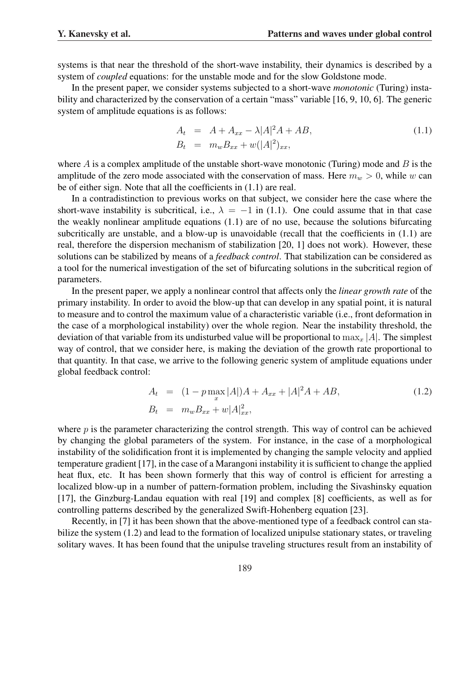systems is that near the threshold of the short-wave instability, their dynamics is described by a system of *coupled* equations: for the unstable mode and for the slow Goldstone mode.

In the present paper, we consider systems subjected to a short-wave *monotonic* (Turing) instability and characterized by the conservation of a certain "mass" variable [16, 9, 10, 6]. The generic system of amplitude equations is as follows:

$$
A_t = A + A_{xx} - \lambda |A|^2 A + AB,
$$
  
\n
$$
B_t = m_w B_{xx} + w(|A|^2)_{xx},
$$
\n(1.1)

where A is a complex amplitude of the unstable short-wave monotonic (Turing) mode and B is the amplitude of the zero mode associated with the conservation of mass. Here  $m_w > 0$ , while w can be of either sign. Note that all the coefficients in (1.1) are real.

In a contradistinction to previous works on that subject, we consider here the case where the short-wave instability is subcritical, i.e.,  $\lambda = -1$  in (1.1). One could assume that in that case the weakly nonlinear amplitude equations (1.1) are of no use, because the solutions bifurcating subcritically are unstable, and a blow-up is unavoidable (recall that the coefficients in (1.1) are real, therefore the dispersion mechanism of stabilization [20, 1] does not work). However, these solutions can be stabilized by means of a *feedback control*. That stabilization can be considered as a tool for the numerical investigation of the set of bifurcating solutions in the subcritical region of parameters.

In the present paper, we apply a nonlinear control that affects only the *linear growth rate* of the primary instability. In order to avoid the blow-up that can develop in any spatial point, it is natural to measure and to control the maximum value of a characteristic variable (i.e., front deformation in the case of a morphological instability) over the whole region. Near the instability threshold, the deviation of that variable from its undisturbed value will be proportional to  $\max_x |A|$ . The simplest way of control, that we consider here, is making the deviation of the growth rate proportional to that quantity. In that case, we arrive to the following generic system of amplitude equations under global feedback control:

$$
A_t = (1 - p \max_x |A|)A + A_{xx} + |A|^2 A + AB,
$$
  
\n
$$
B_t = m_w B_{xx} + w|A|_{xx}^2,
$$
\n(1.2)

where  $p$  is the parameter characterizing the control strength. This way of control can be achieved by changing the global parameters of the system. For instance, in the case of a morphological instability of the solidification front it is implemented by changing the sample velocity and applied temperature gradient [17], in the case of a Marangoni instability it is sufficient to change the applied heat flux, etc. It has been shown formerly that this way of control is efficient for arresting a localized blow-up in a number of pattern-formation problem, including the Sivashinsky equation [17], the Ginzburg-Landau equation with real [19] and complex [8] coefficients, as well as for controlling patterns described by the generalized Swift-Hohenberg equation [23].

Recently, in [7] it has been shown that the above-mentioned type of a feedback control can stabilize the system (1.2) and lead to the formation of localized unipulse stationary states, or traveling solitary waves. It has been found that the unipulse traveling structures result from an instability of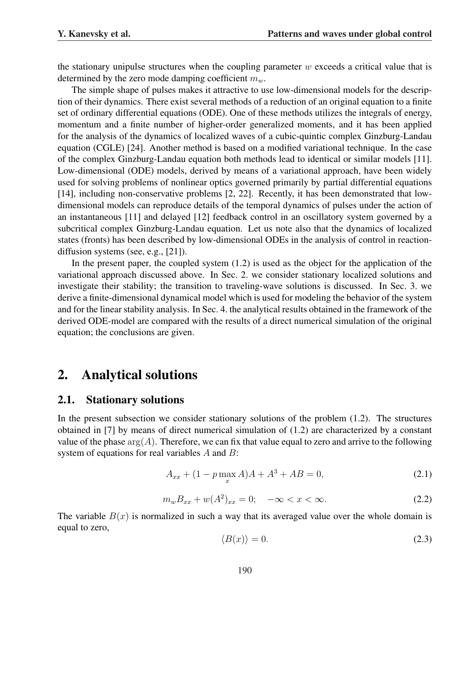the stationary unipulse structures when the coupling parameter  $w$  exceeds a critical value that is determined by the zero mode damping coefficient  $m_w$ .

The simple shape of pulses makes it attractive to use low-dimensional models for the description of their dynamics. There exist several methods of a reduction of an original equation to a finite set of ordinary differential equations (ODE). One of these methods utilizes the integrals of energy, momentum and a finite number of higher-order generalized moments, and it has been applied for the analysis of the dynamics of localized waves of a cubic-quintic complex Ginzburg-Landau equation (CGLE) [24]. Another method is based on a modified variational technique. In the case of the complex Ginzburg-Landau equation both methods lead to identical or similar models [11]. Low-dimensional (ODE) models, derived by means of a variational approach, have been widely used for solving problems of nonlinear optics governed primarily by partial differential equations [14], including non-conservative problems [2, 22]. Recently, it has been demonstrated that lowdimensional models can reproduce details of the temporal dynamics of pulses under the action of an instantaneous [11] and delayed [12] feedback control in an oscillatory system governed by a subcritical complex Ginzburg-Landau equation. Let us note also that the dynamics of localized states (fronts) has been described by low-dimensional ODEs in the analysis of control in reactiondiffusion systems (see, e.g., [21]).

In the present paper, the coupled system  $(1.2)$  is used as the object for the application of the variational approach discussed above. In Sec. 2. we consider stationary localized solutions and investigate their stability; the transition to traveling-wave solutions is discussed. In Sec. 3. we derive a finite-dimensional dynamical model which is used for modeling the behavior of the system and for the linear stability analysis. In Sec. 4. the analytical results obtained in the framework of the derived ODE-model are compared with the results of a direct numerical simulation of the original equation; the conclusions are given.

## 2. Analytical solutions

#### 2.1. Stationary solutions

In the present subsection we consider stationary solutions of the problem (1.2). The structures obtained in [7] by means of direct numerical simulation of (1.2) are characterized by a constant value of the phase  $arg(A)$ . Therefore, we can fix that value equal to zero and arrive to the following system of equations for real variables A and B:

$$
A_{xx} + (1 - p \max_x A)A + A^3 + AB = 0,
$$
\n(2.1)

$$
m_w B_{xx} + w(A^2)_{xx} = 0; \quad -\infty < x < \infty. \tag{2.2}
$$

The variable  $B(x)$  is normalized in such a way that its averaged value over the whole domain is equal to zero,

$$
\langle B(x) \rangle = 0. \tag{2.3}
$$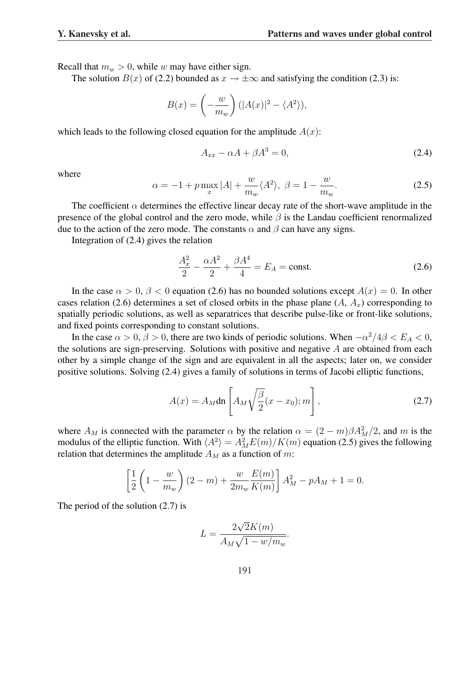Recall that  $m_w > 0$ , while w may have either sign.

The solution  $B(x)$  of (2.2) bounded as  $x \to \pm \infty$  and satisfying the condition (2.3) is:

$$
B(x) = \left(-\frac{w}{m_w}\right) (|A(x)|^2 - \langle A^2 \rangle),
$$

which leads to the following closed equation for the amplitude  $A(x)$ :

$$
A_{xx} - \alpha A + \beta A^3 = 0,\t\t(2.4)
$$

where

$$
\alpha = -1 + p \max_{x} |A| + \frac{w}{m_w} \langle A^2 \rangle, \ \beta = 1 - \frac{w}{m_w}.
$$

The coefficient  $\alpha$  determines the effective linear decay rate of the short-wave amplitude in the presence of the global control and the zero mode, while  $\beta$  is the Landau coefficient renormalized due to the action of the zero mode. The constants  $\alpha$  and  $\beta$  can have any signs.

Integration of (2.4) gives the relation

$$
\frac{A_x^2}{2} - \frac{\alpha A^2}{2} + \frac{\beta A^4}{4} = E_A = \text{const.}
$$
 (2.6)

In the case  $\alpha > 0$ ,  $\beta < 0$  equation (2.6) has no bounded solutions except  $A(x) = 0$ . In other cases relation (2.6) determines a set of closed orbits in the phase plane  $(A, A_x)$  corresponding to spatially periodic solutions, as well as separatrices that describe pulse-like or front-like solutions, and fixed points corresponding to constant solutions.

In the case  $\alpha > 0$ ,  $\beta > 0$ , there are two kinds of periodic solutions. When  $-\alpha^2/4\beta < E_A < 0$ , the solutions are sign-preserving. Solutions with positive and negative  $A$  are obtained from each other by a simple change of the sign and are equivalent in all the aspects; later on, we consider positive solutions. Solving (2.4) gives a family of solutions in terms of Jacobi elliptic functions,

$$
A(x) = A_M \text{dn} \left[ A_M \sqrt{\frac{\beta}{2}} (x - x_0); m \right], \qquad (2.7)
$$

where  $A_M$  is connected with the parameter  $\alpha$  by the relation  $\alpha = (2 - m)\beta A_M^2/2$ , and m is the modulus of the elliptic function. With  $\langle A^2 \rangle = A_M^2 E(m)/K(m)$  equation (2.5) gives the following relation that determines the amplitude  $A_M$  as a function of m:

$$
\left[\frac{1}{2}\left(1 - \frac{w}{m_w}\right)(2 - m) + \frac{w}{2m_w}\frac{E(m)}{K(m)}\right]A_M^2 - pA_M + 1 = 0.
$$

The period of the solution (2.7) is

$$
L = \frac{2\sqrt{2}K(m)}{A_M\sqrt{1 - w/m_w}}.
$$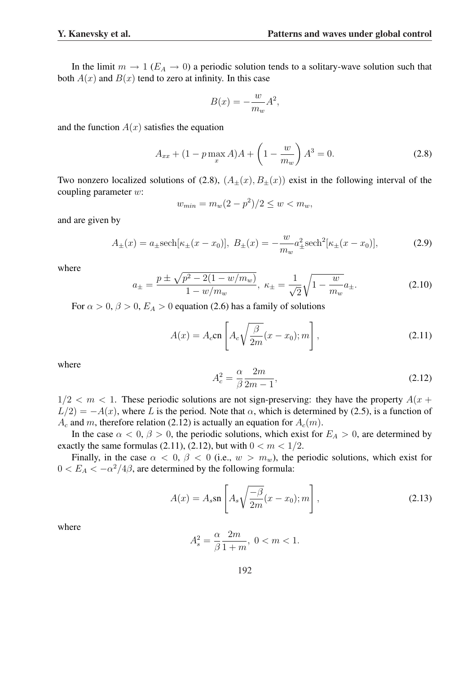In the limit  $m \to 1$  ( $E_A \to 0$ ) a periodic solution tends to a solitary-wave solution such that both  $A(x)$  and  $B(x)$  tend to zero at infinity. In this case

$$
B(x) = -\frac{w}{m_w}A^2,
$$

and the function  $A(x)$  satisfies the equation

$$
A_{xx} + (1 - p \max_{x} A)A + \left(1 - \frac{w}{m_w}\right) A^3 = 0.
$$
 (2.8)

Two nonzero localized solutions of (2.8),  $(A_{\pm}(x), B_{\pm}(x))$  exist in the following interval of the coupling parameter w:

$$
w_{min} = m_w(2 - p^2)/2 \le w < m_w,
$$

and are given by

$$
A_{\pm}(x) = a_{\pm} \text{sech}[\kappa_{\pm}(x - x_0)], \ B_{\pm}(x) = -\frac{w}{m_w} a_{\pm}^2 \text{sech}^2[\kappa_{\pm}(x - x_0)], \tag{2.9}
$$

where

$$
a_{\pm} = \frac{p \pm \sqrt{p^2 - 2(1 - w/m_w)}}{1 - w/m_w}, \ \kappa_{\pm} = \frac{1}{\sqrt{2}} \sqrt{1 - \frac{w}{m_w}} a_{\pm}.
$$
 (2.10)

For  $\alpha > 0$ ,  $\beta > 0$ ,  $E_A > 0$  equation (2.6) has a family of solutions

$$
A(x) = A_c \text{cn}\left[A_c \sqrt{\frac{\beta}{2m}}(x - x_0); m\right],
$$
\n(2.11)

where

$$
A_c^2 = \frac{\alpha}{\beta} \frac{2m}{2m - 1},\tag{2.12}
$$

 $1/2 < m < 1$ . These periodic solutions are not sign-preserving: they have the property  $A(x +$  $L/2 = -A(x)$ , where L is the period. Note that  $\alpha$ , which is determined by (2.5), is a function of  $A_c$  and m, therefore relation (2.12) is actually an equation for  $A_c(m)$ .

In the case  $\alpha < 0$ ,  $\beta > 0$ , the periodic solutions, which exist for  $E_A > 0$ , are determined by exactly the same formulas (2.11), (2.12), but with  $0 < m < 1/2$ .

Finally, in the case  $\alpha < 0$ ,  $\beta < 0$  (i.e.,  $w > m_w$ ), the periodic solutions, which exist for  $0 < E_A < -\alpha^2/4\beta$ , are determined by the following formula:

$$
A(x) = A_s \operatorname{sn} \left[ A_s \sqrt{\frac{-\beta}{2m}} (x - x_0); m \right], \tag{2.13}
$$

where

$$
A_s^2 = \frac{\alpha}{\beta} \frac{2m}{1+m}, \ 0 < m < 1.
$$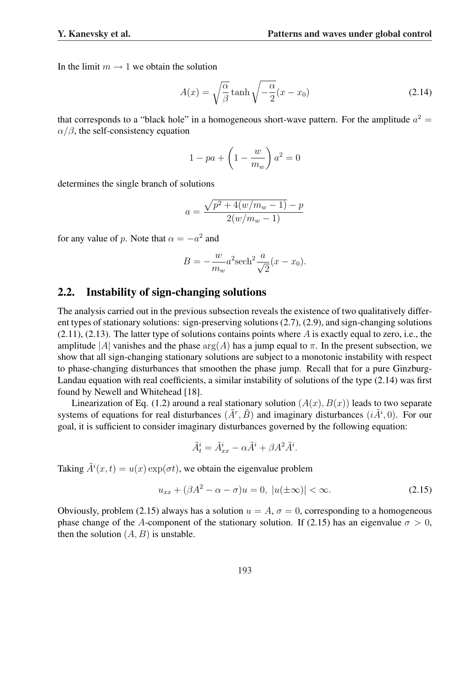In the limit  $m \to 1$  we obtain the solution

$$
A(x) = \sqrt{\frac{\alpha}{\beta}} \tanh \sqrt{-\frac{\alpha}{2}} (x - x_0)
$$
 (2.14)

that corresponds to a "black hole" in a homogeneous short-wave pattern. For the amplitude  $a^2 =$  $\alpha/\beta$ , the self-consistency equation

$$
1 - pa + \left(1 - \frac{w}{m_w}\right)a^2 = 0
$$

determines the single branch of solutions

$$
a = \frac{\sqrt{p^2 + 4(w/m_w - 1)} - p}{2(w/m_w - 1)}
$$

for any value of p. Note that  $\alpha = -a^2$  and

$$
B = -\frac{w}{m_w}a^2 \mathrm{sech}^2 \frac{a}{\sqrt{2}} (x - x_0).
$$

#### 2.2. Instability of sign-changing solutions

The analysis carried out in the previous subsection reveals the existence of two qualitatively different types of stationary solutions: sign-preserving solutions (2.7), (2.9), and sign-changing solutions  $(2.11)$ ,  $(2.13)$ . The latter type of solutions contains points where A is exactly equal to zero, i.e., the amplitude |A| vanishes and the phase  $arg(A)$  has a jump equal to  $\pi$ . In the present subsection, we show that all sign-changing stationary solutions are subject to a monotonic instability with respect to phase-changing disturbances that smoothen the phase jump. Recall that for a pure Ginzburg-Landau equation with real coefficients, a similar instability of solutions of the type (2.14) was first found by Newell and Whitehead [18].

Linearization of Eq. (1.2) around a real stationary solution  $(A(x), B(x))$  leads to two separate systems of equations for real disturbances  $(\tilde{A}^r, \tilde{B})$  and imaginary disturbances  $(i\tilde{A}^i, 0)$ . For our goal, it is sufficient to consider imaginary disturbances governed by the following equation:

$$
\tilde{A}_t^i = \tilde{A}_{xx}^i - \alpha \tilde{A}^i + \beta A^2 \tilde{A}^i.
$$

Taking  $\tilde{A}^i(x,t) = u(x) \exp(\sigma t)$ , we obtain the eigenvalue problem

$$
u_{xx} + (\beta A^2 - \alpha - \sigma)u = 0, \ |u(\pm \infty)| < \infty. \tag{2.15}
$$

Obviously, problem (2.15) always has a solution  $u = A$ ,  $\sigma = 0$ , corresponding to a homogeneous phase change of the A-component of the stationary solution. If (2.15) has an eigenvalue  $\sigma > 0$ , then the solution  $(A, B)$  is unstable.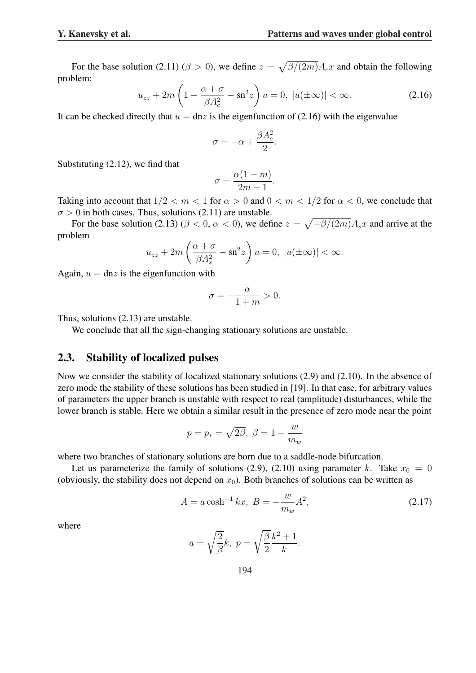For the base solution (2.11) ( $\beta > 0$ ), we define  $z =$ p  $\beta/(2m)A_cx$  and obtain the following problem:  $\overline{a}$  $\mathbf{r}$ 

$$
u_{zz} + 2m\left(1 - \frac{\alpha + \sigma}{\beta A_c^2} - \operatorname{sn}^2 z\right)u = 0, \ |u(\pm \infty)| < \infty. \tag{2.16}
$$

It can be checked directly that  $u = \text{dn} z$  is the eigenfunction of (2.16) with the eigenvalue

$$
\sigma = -\alpha + \frac{\beta A_c^2}{2}.
$$

Substituting (2.12), we find that

$$
\sigma = \frac{\alpha(1-m)}{2m-1}.
$$

Taking into account that  $1/2 < m < 1$  for  $\alpha > 0$  and  $0 < m < 1/2$  for  $\alpha < 0$ , we conclude that  $\sigma > 0$  in both cases. Thus, solutions (2.11) are unstable.  $\overline{p}$ 

For the base solution (2.13) ( $\beta$  < 0,  $\alpha$  < 0), we define  $z =$  $-\beta/(2m)A_s x$  and arrive at the problem  $\overline{a}$  $\mathbf{r}$ 

$$
u_{zz} + 2m\left(\frac{\alpha + \sigma}{\beta A_s^2} - \operatorname{sn}^2 z\right)u = 0, \ |u(\pm \infty)| < \infty.
$$

Again,  $u = \text{dn}z$  is the eigenfunction with

$$
\sigma = -\frac{\alpha}{1+m} > 0.
$$

Thus, solutions (2.13) are unstable.

We conclude that all the sign-changing stationary solutions are unstable.

### 2.3. Stability of localized pulses

Now we consider the stability of localized stationary solutions (2.9) and (2.10). In the absence of zero mode the stability of these solutions has been studied in [19]. In that case, for arbitrary values of parameters the upper branch is unstable with respect to real (amplitude) disturbances, while the lower branch is stable. Here we obtain a similar result in the presence of zero mode near the point

$$
p = p_* = \sqrt{2\beta}, \ \beta = 1 - \frac{w}{m_w}
$$

where two branches of stationary solutions are born due to a saddle-node bifurcation.

Let us parameterize the family of solutions (2.9), (2.10) using parameter k. Take  $x_0 = 0$ (obviously, the stability does not depend on  $x_0$ ). Both branches of solutions can be written as

$$
A = a \cosh^{-1} kx, \ B = -\frac{w}{m_w} A^2,
$$
 (2.17)

where

$$
a = \sqrt{\frac{2}{\beta}}k, \ p = \sqrt{\frac{\beta}{2}} \frac{k^2 + 1}{k}.
$$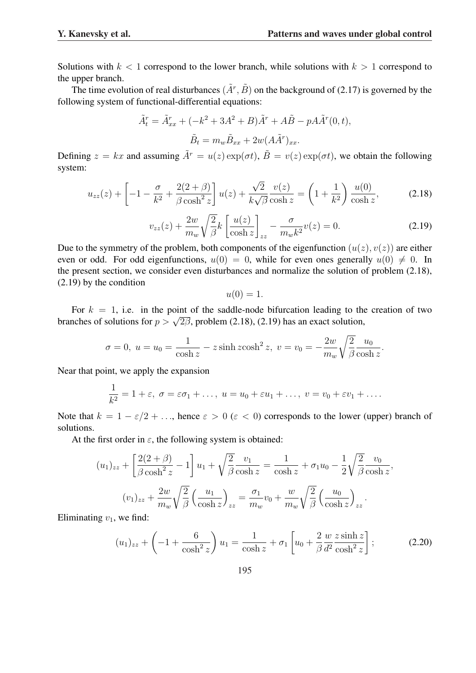Solutions with  $k < 1$  correspond to the lower branch, while solutions with  $k > 1$  correspond to the upper branch.

The time evolution of real disturbances  $(\tilde{A}^r, \tilde{B})$  on the background of (2.17) is governed by the following system of functional-differential equations:

$$
\tilde{A}_t^r = \tilde{A}_{xx}^r + (-k^2 + 3A^2 + B)\tilde{A}^r + A\tilde{B} - pA\tilde{A}^r(0, t),
$$
  

$$
\tilde{B}_t = m_w \tilde{B}_{xx} + 2w(A\tilde{A}^r)_{xx}.
$$

Defining  $z = kx$  and assuming  $\tilde{A}^r = u(z) \exp(\sigma t)$ ,  $\tilde{B} = v(z) \exp(\sigma t)$ , we obtain the following system:

$$
u_{zz}(z) + \left[ -1 - \frac{\sigma}{k^2} + \frac{2(2+\beta)}{\beta \cosh^2 z} \right] u(z) + \frac{\sqrt{2}}{k\sqrt{\beta}} \frac{v(z)}{\cosh z} = \left( 1 + \frac{1}{k^2} \right) \frac{u(0)}{\cosh z},
$$
(2.18)

$$
v_{zz}(z) + \frac{2w}{m_w} \sqrt{\frac{2}{\beta}} k \left[ \frac{u(z)}{\cosh z} \right]_{zz} - \frac{\sigma}{m_w k^2} v(z) = 0.
$$
 (2.19)

Due to the symmetry of the problem, both components of the eigenfunction  $(u(z), v(z))$  are either even or odd. For odd eigenfunctions,  $u(0) = 0$ , while for even ones generally  $u(0) \neq 0$ . In the present section, we consider even disturbances and normalize the solution of problem (2.18), (2.19) by the condition

$$
u(0)=1.
$$

For  $k = 1$ , i.e. in the point of the saddle-node bifurcation leading to the creation of two For  $\kappa = 1$ , i.e. In the point of the saddle-hode bruncation reading to the branches of solutions for  $p > \sqrt{2\beta}$ , problem (2.18), (2.19) has an exact solution,

$$
\sigma = 0
$$
,  $u = u_0 = \frac{1}{\cosh z} - z \sinh z \cosh^2 z$ ,  $v = v_0 = -\frac{2w}{m_w} \sqrt{\frac{2}{\beta}} \frac{u_0}{\cosh z}$ .

Near that point, we apply the expansion

$$
\frac{1}{k^2} = 1 + \varepsilon, \ \sigma = \varepsilon \sigma_1 + \dots, \ u = u_0 + \varepsilon u_1 + \dots, \ v = v_0 + \varepsilon v_1 + \dots
$$

Note that  $k = 1 - \varepsilon/2 + \ldots$ , hence  $\varepsilon > 0$  ( $\varepsilon < 0$ ) corresponds to the lower (upper) branch of solutions.

At the first order in  $\varepsilon$ , the following system is obtained:

$$
(u_1)_{zz} + \left[\frac{2(2+\beta)}{\beta \cosh^2 z} - 1\right]u_1 + \sqrt{\frac{2}{\beta}} \frac{v_1}{\cosh z} = \frac{1}{\cosh z} + \sigma_1 u_0 - \frac{1}{2} \sqrt{\frac{2}{\beta}} \frac{v_0}{\cosh z},
$$

$$
(v_1)_{zz} + \frac{2w}{m_w} \sqrt{\frac{2}{\beta}} \left(\frac{u_1}{\cosh z}\right)_{zz} = \frac{\sigma_1}{m_w} v_0 + \frac{w}{m_w} \sqrt{\frac{2}{\beta}} \left(\frac{u_0}{\cosh z}\right)_{zz}.
$$

Eliminating  $v_1$ , we find:

$$
(u_1)_{zz} + \left(-1 + \frac{6}{\cosh^2 z}\right)u_1 = \frac{1}{\cosh z} + \sigma_1 \left[u_0 + \frac{2}{\beta} \frac{w}{d^2} \frac{z \sinh z}{\cosh^2 z}\right];
$$
 (2.20)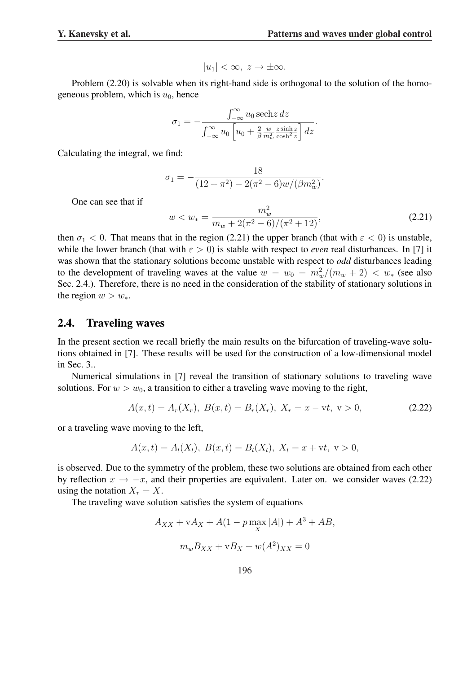$$
|u_1| < \infty, \ z \to \pm \infty.
$$

Problem (2.20) is solvable when its right-hand side is orthogonal to the solution of the homogeneous problem, which is  $u_0$ , hence

$$
\sigma_1 = -\frac{\int_{-\infty}^{\infty} u_0 \operatorname{sech} z \, dz}{\int_{-\infty}^{\infty} u_0 \left[ u_0 + \frac{2}{\beta} \frac{w}{m_w^2} \frac{z \sinh z}{\cosh^2 z} \right] dz}
$$

Calculating the integral, we find:

$$
\sigma_1 = -\frac{18}{(12 + \pi^2) - 2(\pi^2 - 6)w/(\beta m_w^2)}
$$

One can see that if

$$
w < w_* = \frac{m_w^2}{m_w + 2(\pi^2 - 6)/(\pi^2 + 12)},\tag{2.21}
$$

.

.

then  $\sigma_1$  < 0. That means that in the region (2.21) the upper branch (that with  $\varepsilon$  < 0) is unstable, while the lower branch (that with  $\varepsilon > 0$ ) is stable with respect to *even* real disturbances. In [7] it was shown that the stationary solutions become unstable with respect to *odd* disturbances leading to the development of traveling waves at the value  $w = w_0 = m_w^2/(m_w + 2) < w_*$  (see also Sec. 2.4.). Therefore, there is no need in the consideration of the stability of stationary solutions in the region  $w > w_*$ .

### 2.4. Traveling waves

In the present section we recall briefly the main results on the bifurcation of traveling-wave solutions obtained in [7]. These results will be used for the construction of a low-dimensional model in Sec. 3..

Numerical simulations in [7] reveal the transition of stationary solutions to traveling wave solutions. For  $w > w_0$ , a transition to either a traveling wave moving to the right,

$$
A(x,t) = A_r(X_r), B(x,t) = B_r(X_r), X_r = x - vt, v > 0,
$$
\n(2.22)

or a traveling wave moving to the left,

$$
A(x,t) = A_l(X_l), B(x,t) = B_l(X_l), X_l = x + vt, v > 0,
$$

is observed. Due to the symmetry of the problem, these two solutions are obtained from each other by reflection  $x \to -x$ , and their properties are equivalent. Later on. we consider waves (2.22) using the notation  $X_r = X$ .

The traveling wave solution satisfies the system of equations

$$
A_{XX} + vA_X + A(1 - p \max_X |A|) + A^3 + AB,
$$
  

$$
m_w B_{XX} + vB_X + w(A^2)_{XX} = 0
$$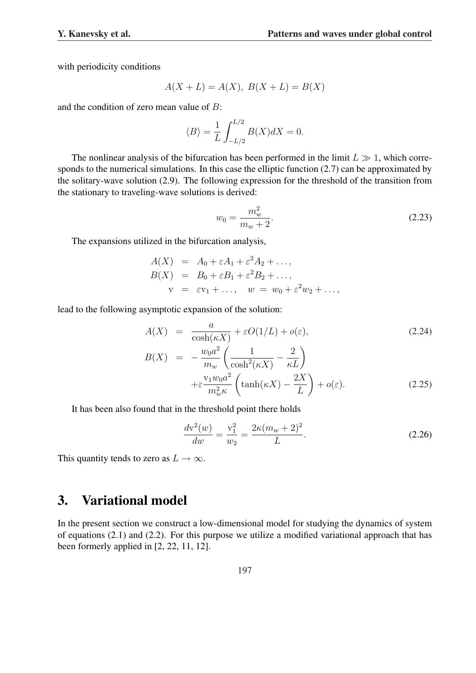with periodicity conditions

$$
A(X + L) = A(X), B(X + L) = B(X)
$$

and the condition of zero mean value of B:

$$
\langle B \rangle = \frac{1}{L} \int_{-L/2}^{L/2} B(X) dX = 0.
$$

The nonlinear analysis of the bifurcation has been performed in the limit  $L \gg 1$ , which corresponds to the numerical simulations. In this case the elliptic function (2.7) can be approximated by the solitary-wave solution (2.9). The following expression for the threshold of the transition from the stationary to traveling-wave solutions is derived:

$$
w_0 = \frac{m_w^2}{m_w + 2}.
$$
\n(2.23)

The expansions utilized in the bifurcation analysis,

$$
A(X) = A_0 + \varepsilon A_1 + \varepsilon^2 A_2 + \dots,
$$
  
\n
$$
B(X) = B_0 + \varepsilon B_1 + \varepsilon^2 B_2 + \dots,
$$
  
\n
$$
v = \varepsilon v_1 + \dots, \quad w = w_0 + \varepsilon^2 w_2 + \dots,
$$

lead to the following asymptotic expansion of the solution:

$$
A(X) = \frac{a}{\cosh(\kappa X)} + \varepsilon O(1/L) + o(\varepsilon),
$$
\n
$$
B(X) = -\frac{w_0 a^2}{m_w} \left(\frac{1}{\cosh^2(\kappa X)} - \frac{2}{\kappa L}\right)
$$
\n
$$
+ \varepsilon \frac{v_1 w_0 a^2}{m_w^2 \kappa} \left(\tanh(\kappa X) - \frac{2X}{L}\right) + o(\varepsilon).
$$
\n(2.25)

It has been also found that in the threshold point there holds

$$
\frac{dv^2(w)}{dw} = \frac{v_1^2}{w_2} = \frac{2\kappa(m_w + 2)^2}{L}.
$$
\n(2.26)

This quantity tends to zero as  $L \to \infty$ .

## 3. Variational model

In the present section we construct a low-dimensional model for studying the dynamics of system of equations (2.1) and (2.2). For this purpose we utilize a modified variational approach that has been formerly applied in [2, 22, 11, 12].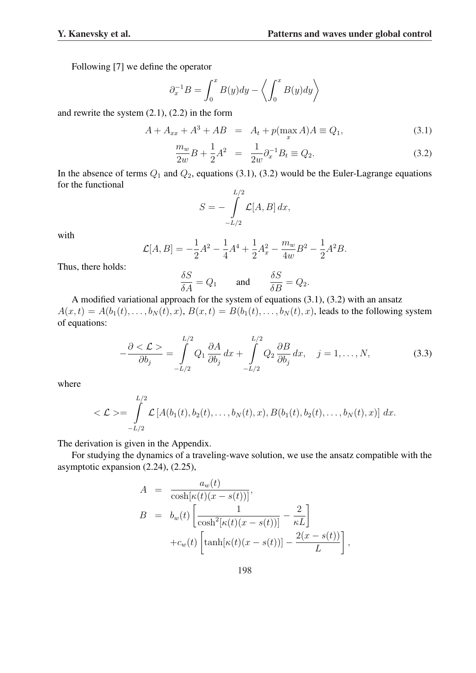Following [7] we define the operator

$$
\partial_x^{-1}B = \int_0^x B(y)dy - \left\langle \int_0^x B(y)dy \right\rangle
$$

and rewrite the system (2.1), (2.2) in the form

$$
A + A_{xx} + A^3 + AB = A_t + p(\max_x A)A \equiv Q_1,
$$
 (3.1)

$$
\frac{m_w}{2w}B + \frac{1}{2}A^2 = \frac{1}{2w}\partial_x^{-1}B_t \equiv Q_2.
$$
 (3.2)

In the absence of terms  $Q_1$  and  $Q_2$ , equations (3.1), (3.2) would be the Euler-Lagrange equations for the functional

$$
S = -\int_{-L/2}^{L/2} \mathcal{L}[A, B] dx,
$$

with

$$
\mathcal{L}[A,B] = -\frac{1}{2}A^2 - \frac{1}{4}A^4 + \frac{1}{2}A_x^2 - \frac{m_w}{4w}B^2 - \frac{1}{2}A^2B.
$$

Thus, there holds:

$$
\frac{\delta S}{\delta A} = Q_1 \quad \text{and} \quad \frac{\delta S}{\delta B} = Q_2.
$$

A modified variational approach for the system of equations (3.1), (3.2) with an ansatz  $A(x, t) = A(b_1(t), \ldots, b_N(t), x), B(x, t) = B(b_1(t), \ldots, b_N(t), x)$ , leads to the following system of equations:

$$
-\frac{\partial \langle \mathcal{L} \rangle}{\partial b_j} = \int_{-L/2}^{L/2} Q_1 \frac{\partial A}{\partial b_j} dx + \int_{-L/2}^{L/2} Q_2 \frac{\partial B}{\partial b_j} dx, \quad j = 1, ..., N,
$$
 (3.3)

where

$$
\langle \mathcal{L} \rangle = \int\limits_{-L/2}^{L/2} \mathcal{L} \left[ A(b_1(t), b_2(t), \dots, b_N(t), x), B(b_1(t), b_2(t), \dots, b_N(t), x) \right] dx.
$$

The derivation is given in the Appendix.

For studying the dynamics of a traveling-wave solution, we use the ansatz compatible with the asymptotic expansion (2.24), (2.25),

$$
A = \frac{a_w(t)}{\cosh[\kappa(t)(x - s(t))]},
$$
  
\n
$$
B = b_w(t) \left[ \frac{1}{\cosh^2[\kappa(t)(x - s(t))] } - \frac{2}{\kappa L} \right]
$$
  
\n
$$
+ c_w(t) \left[ \tanh[\kappa(t)(x - s(t))] - \frac{2(x - s(t))}{L} \right],
$$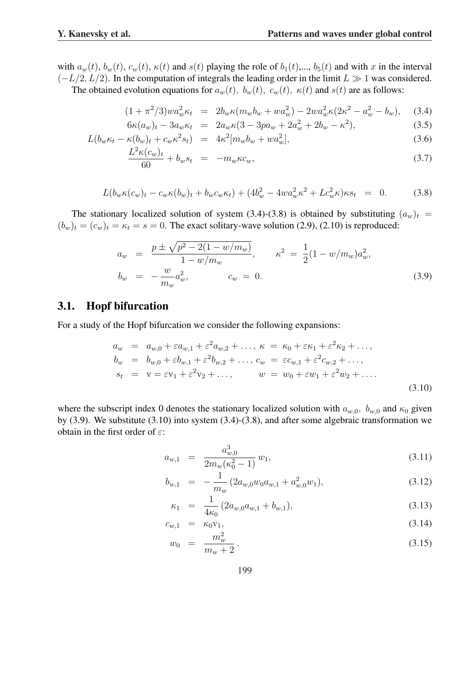with  $a_w(t)$ ,  $b_w(t)$ ,  $c_w(t)$ ,  $\kappa(t)$  and  $s(t)$  playing the role of  $b_1(t)$ ,...,  $b_5(t)$  and with x in the interval  $(-L/2, L/2)$ . In the computation of integrals the leading order in the limit  $L \gg 1$  was considered.

The obtained evolution equations for  $a_w(t)$ ,  $b_w(t)$ ,  $c_w(t)$ ,  $\kappa(t)$  and  $s(t)$  are as follows:

$$
(1 + \pi^2/3)wa_w^2 \kappa_t = 2b_w \kappa (m_w b_w + w a_w^2) - 2wa_w^2 \kappa (2\kappa^2 - a_w^2 - b_w), \quad (3.4)
$$

$$
6\kappa(a_w)_t - 3a_w \kappa_t = 2a_w \kappa (3 - 3pa_w + 2a_w^2 + 2b_w - \kappa^2), \tag{3.5}
$$

$$
L(b_w\kappa_t - \kappa(b_w)_t + c_w\kappa^2 s_t) = 4\kappa^2[m_w b_w + w a_w^2],\tag{3.6}
$$

$$
\frac{L^2 \kappa(c_w)_t}{60} + b_w s_t = -m_w \kappa c_w,\tag{3.7}
$$

$$
L(b_w \kappa(c_w)_t - c_w \kappa(b_w)_t + b_w c_w \kappa_t) + (4b_w^2 - 4wa_w^2 \kappa^2 + Lc_w^2 \kappa) \kappa s_t = 0.
$$
 (3.8)

The stationary localized solution of system (3.4)-(3.8) is obtained by substituting  $(a_w)_t$  =  $(b_w)_t = (c_w)_t = \kappa_t = s = 0$ . The exact solitary-wave solution (2.9), (2.10) is reproduced:

$$
a_w = \frac{p \pm \sqrt{p^2 - 2(1 - w/m_w)}}{1 - w/m_w}, \qquad \kappa^2 = \frac{1}{2}(1 - w/m_w)a_w^2,
$$
  
\n
$$
b_w = -\frac{w}{m_w}a_w^2, \qquad c_w = 0.
$$
\n(3.9)

### 3.1. Hopf bifurcation

For a study of the Hopf bifurcation we consider the following expansions:

$$
a_w = a_{w,0} + \varepsilon a_{w,1} + \varepsilon^2 a_{w,2} + \dots, \ \kappa = \kappa_0 + \varepsilon \kappa_1 + \varepsilon^2 \kappa_2 + \dots, \n b_w = b_{w,0} + \varepsilon b_{w,1} + \varepsilon^2 b_{w,2} + \dots, \ c_w = \varepsilon c_{w,1} + \varepsilon^2 c_{w,2} + \dots, \n s_t = v = \varepsilon v_1 + \varepsilon^2 v_2 + \dots, \qquad w = w_0 + \varepsilon w_1 + \varepsilon^2 w_2 + \dots
$$
\n(3.10)

where the subscript index 0 denotes the stationary localized solution with  $a_{w,0}$ ,  $b_{w,0}$  and  $\kappa_0$  given by (3.9). We substitute (3.10) into system (3.4)-(3.8), and after some algebraic transformation we obtain in the first order of  $\varepsilon$ :

$$
a_{w,1} = \frac{a_{w,0}^3}{2m_w(\kappa_0^2 - 1)} w_1,
$$
\n(3.11)

$$
b_{w,1} = -\frac{1}{m_w} \left( 2a_{w,0} w_0 a_{w,1} + a_{w,0}^2 w_1 \right), \tag{3.12}
$$

$$
\kappa_1 = \frac{1}{4\kappa_0} \left( 2a_{w,0} a_{w,1} + b_{w,1} \right), \tag{3.13}
$$

$$
c_{w,1} = \kappa_0 \mathbf{v}_1,\tag{3.14}
$$

$$
w_0 = \frac{m_w^2}{m_w + 2}.
$$
\n(3.15)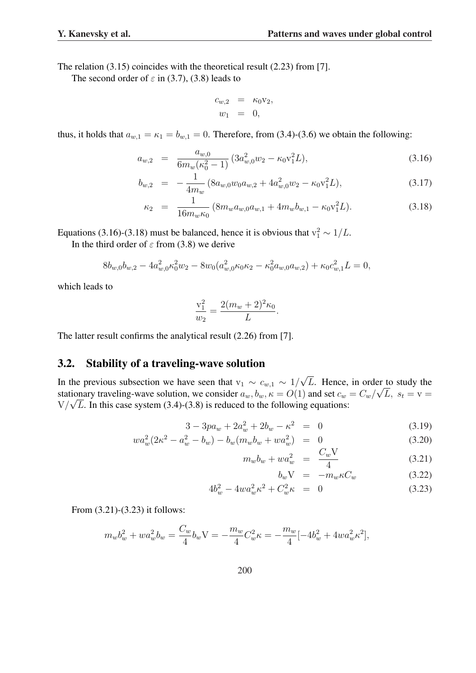The relation (3.15) coincides with the theoretical result (2.23) from [7].

The second order of  $\varepsilon$  in (3.7), (3.8) leads to

$$
c_{w,2} = \kappa_0 v_2,
$$
  

$$
w_1 = 0,
$$

thus, it holds that  $a_{w,1} = \kappa_1 = b_{w,1} = 0$ . Therefore, from (3.4)-(3.6) we obtain the following:

$$
a_{w,2} = \frac{a_{w,0}}{6m_w(\kappa_0^2 - 1)} \left(3a_{w,0}^2 w_2 - \kappa_0 v_1^2 L\right),\tag{3.16}
$$

$$
b_{w,2} = -\frac{1}{4m_w} \left( 8a_{w,0} w_0 a_{w,2} + 4a_{w,0}^2 w_2 - \kappa_0 \mathbf{v}_1^2 L \right),\tag{3.17}
$$

$$
\kappa_2 = \frac{1}{16m_w\kappa_0} \left( 8m_w a_{w,0} a_{w,1} + 4m_w b_{w,1} - \kappa_0 \mathbf{v}_1^2 L \right). \tag{3.18}
$$

Equations (3.16)-(3.18) must be balanced, hence it is obvious that  $v_1^2 \sim 1/L$ .

In the third order of  $\varepsilon$  from (3.8) we derive

$$
8b_{w,0}b_{w,2} - 4a_{w,0}^2\kappa_0^2 w_2 - 8w_0(a_{w,0}^2\kappa_0\kappa_2 - \kappa_0^2 a_{w,0}a_{w,2}) + \kappa_0 c_{w,1}^2 L = 0,
$$

which leads to

$$
\frac{v_1^2}{w_2} = \frac{2(m_w + 2)^2 \kappa_0}{L}.
$$

The latter result confirms the analytical result (2.26) from [7].

### 3.2. Stability of a traveling-wave solution

In the previous subsection we have seen that  $v_1 \sim c_{w,1} \sim 1/$ √ L. Hence, in order to study the stationary traveling-wave solution, we consider  $a_w, b_w, \kappa = O(1)$  and set  $c_w = C_w / \sqrt{L}$ ,  $s_t = v =$  $V/\sqrt{L}$ . In this case system (3.4)-(3.8) is reduced to the following equations:

$$
3 - 3p a_w + 2a_w^2 + 2b_w - \kappa^2 = 0 \tag{3.19}
$$

$$
wa_w^2(2\kappa^2 - a_w^2 - b_w) - b_w(m_w b_w + w a_w^2) = 0
$$
\n(3.20)

$$
m_w b_w + w a_w^2 = \frac{C_w V}{4}
$$
 (3.21)

$$
b_w V = -m_w \kappa C_w \tag{3.22}
$$

$$
4b_w^2 - 4wa_w^2 \kappa^2 + C_w^2 \kappa = 0 \tag{3.23}
$$

From (3.21)-(3.23) it follows:

$$
m_w b_w^2 + w a_w^2 b_w = \frac{C_w}{4} b_w \mathbf{V} = -\frac{m_w}{4} C_w^2 \kappa = -\frac{m_w}{4} [-4b_w^2 + 4wa_w^2 \kappa^2],
$$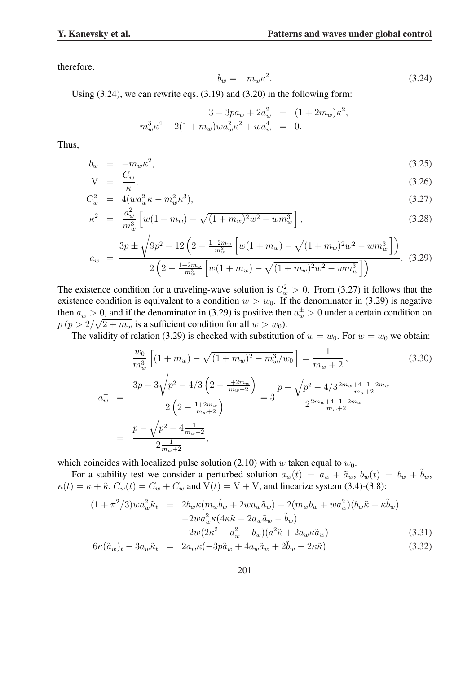therefore,

$$
b_w = -m_w \kappa^2. \tag{3.24}
$$

Using (3.24), we can rewrite eqs. (3.19) and (3.20) in the following form:

$$
3 - 3pa_w + 2a_w^2 = (1 + 2m_w)\kappa^2,
$$
  

$$
m_w^3 \kappa^4 - 2(1 + m_w)wa_w^2 \kappa^2 + wa_w^4 = 0.
$$

Thus,

$$
b_w = -m_w \kappa^2, \tag{3.25}
$$

$$
V = \frac{C_w}{\kappa},\tag{3.26}
$$

$$
C_w^2 = 4(w a_w^2 \kappa - m_w^2 \kappa^3), \tag{3.27}
$$

$$
\kappa^2 = \frac{a_w^2}{m_w^3} \left[ w(1 + m_w) - \sqrt{(1 + m_w)^2 w^2 - w m_w^3} \right],\tag{3.28}
$$

$$
a_w = \frac{3p \pm \sqrt{9p^2 - 12\left(2 - \frac{1+2m_w}{m_w^3}\left[w(1+m_w) - \sqrt{(1+m_w)^2w^2 - w m_w^3}\right]\right)}}{2\left(2 - \frac{1+2m_w}{m_w^3}\left[w(1+m_w) - \sqrt{(1+m_w)^2w^2 - w m_w^3}\right]\right)}.
$$
(3.29)

The existence condition for a traveling-wave solution is  $C_w^2 > 0$ . From (3.27) it follows that the existence condition is equivalent to a condition  $w > w_0$ . If the denominator in (3.29) is negative then  $a_w > 0$ , and if the denominator in (3.29) is positive then  $a_w^{\pm} > 0$  under a certain condition on  $p (p > 2/\sqrt{2 + m_w}$  is a sufficient condition for all  $w > w_0$ ).

The validity of relation (3.29) is checked with substitution of  $w = w_0$ . For  $w = w_0$  we obtain:

$$
\frac{w_0}{m_w^3} \left[ (1 + m_w) - \sqrt{(1 + m_w)^2 - m_w^3/w_0} \right] = \frac{1}{m_w + 2},
$$
\n
$$
a_w^- = \frac{3p - 3\sqrt{p^2 - 4/3 \left(2 - \frac{1 + 2m_w}{m_w + 2}\right)}}{2\left(2 - \frac{1 + 2m_w}{m_w + 2}\right)} = 3 \frac{p - \sqrt{p^2 - 4/3 \frac{2m_w + 4 - 1 - 2m_w}{m_w + 2}}}{2 \frac{2m_w + 4 - 1 - 2m_w}{m_w + 2}}
$$
\n
$$
= \frac{p - \sqrt{p^2 - 4\frac{1}{m_w + 2}}}{2\frac{1}{m_w + 2}},
$$
\n(3.30)

which coincides with localized pulse solution (2.10) with w taken equal to  $w_0$ .

For a stability test we consider a perturbed solution  $a_w(t) = a_w + \tilde{a}_w$ ,  $b_w(t) = b_w + \tilde{b}_w$ ,  $\kappa(t) = \kappa + \tilde{\kappa}$ ,  $C_w(t) = C_w + \tilde{C}_w$  and  $\dot{V}(t) = V + \tilde{V}$ , and linearize system (3.4)-(3.8):

$$
(1 + \pi^2/3)wa_w^2 \tilde{\kappa}_t = 2b_w \kappa (m_w \tilde{b}_w + 2wa_w \tilde{a}_w) + 2(m_w b_w + wa_w^2)(b_w \tilde{\kappa} + \kappa \tilde{b}_w)
$$
  

$$
-2wa_w^2 \kappa (4\kappa \tilde{\kappa} - 2a_w \tilde{a}_w - \tilde{b}_w)
$$
  

$$
-2w(2\kappa^2 - a_w^2 - b_w)(a^2 \tilde{\kappa} + 2a_w \kappa \tilde{a}_w)
$$
 (3.31)

$$
6\kappa(\tilde{a}_w)_t - 3a_w\tilde{\kappa}_t = 2a_w\kappa(-3p\tilde{a}_w + 4a_w\tilde{a}_w + 2\tilde{b}_w - 2\kappa\tilde{\kappa})
$$
\n(3.32)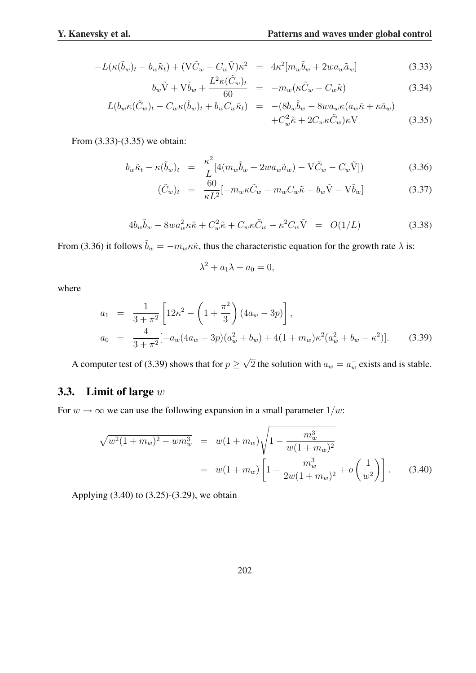$$
-L(\kappa(\tilde{b}_w)_t - b_w \tilde{\kappa}_t) + (\nabla \tilde{C}_w + C_w \tilde{\nabla})\kappa^2 = 4\kappa^2 [m_w \tilde{b}_w + 2wa_w \tilde{a}_w]
$$
(3.33)

$$
b_w \tilde{\mathbf{V}} + \mathbf{V} \tilde{b}_w + \frac{L^2 \kappa (\tilde{C}_w)_t}{60} = -m_w (\kappa \tilde{C}_w + C_w \tilde{\kappa}) \tag{3.34}
$$

$$
L(b_w \kappa (\tilde{C}_w)_t - C_w \kappa (\tilde{b}_w)_t + b_w C_w \tilde{\kappa}_t) = -(8b_w \tilde{b}_w - 8wa_w \kappa (a_w \tilde{\kappa} + \kappa \tilde{a}_w) + C_w^2 \tilde{\kappa} + 2C_w \kappa \tilde{C}_w) \kappa \text{V}
$$
(3.35)

From (3.33)-(3.35) we obtain:

$$
b_w \tilde{\kappa}_t - \kappa (\tilde{b}_w)_t = \frac{\kappa^2}{L} [4(m_w \tilde{b}_w + 2wa_w \tilde{a}_w) - V\tilde{C}_w - C_w \tilde{V}])
$$
(3.36)

$$
(\tilde{C}_w)_t = \frac{60}{\kappa L^2} [-m_w \kappa \tilde{C}_w - m_w C_w \tilde{\kappa} - b_w \tilde{V} - V \tilde{b}_w]
$$
(3.37)

$$
4b_w\tilde{b}_w - 8wa_w^2\kappa\tilde{\kappa} + C_w^2\tilde{\kappa} + C_w\kappa\tilde{C}_w - \kappa^2C_w\tilde{V} = O(1/L) \tag{3.38}
$$

From (3.36) it follows  $\tilde{b}_w = -m_w \kappa \tilde{\kappa}$ , thus the characteristic equation for the growth rate  $\lambda$  is:

$$
\lambda^2 + a_1 \lambda + a_0 = 0,
$$

where

$$
a_1 = \frac{1}{3+\pi^2} \left[ 12\kappa^2 - \left( 1 + \frac{\pi^2}{3} \right) (4a_w - 3p) \right],
$$
  
\n
$$
a_0 = \frac{4}{3+\pi^2} [-a_w(4a_w - 3p)(a_w^2 + b_w) + 4(1 + m_w)\kappa^2(a_w^2 + b_w - \kappa^2)].
$$
\n(3.39)

A computer test of (3.39) shows that for  $p \geq$ √  $\overline{2}$  the solution with  $a_w = a_w^-$  exists and is stable.

### 3.3. Limit of large w

For  $w \to \infty$  we can use the following expansion in a small parameter  $1/w$ :

$$
\sqrt{w^2(1+m_w)^2 - w m_w^3} = w(1+m_w)\sqrt{1 - \frac{m_w^3}{w(1+m_w)^2}}
$$
  
=  $w(1+m_w)\left[1 - \frac{m_w^3}{2w(1+m_w)^2} + o\left(\frac{1}{w^2}\right)\right].$  (3.40)

Applying (3.40) to (3.25)-(3.29), we obtain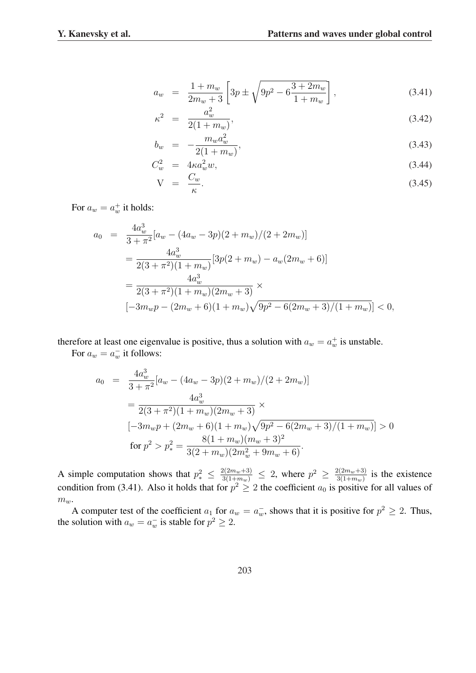$$
a_w = \frac{1 + m_w}{2m_w + 3} \left[ 3p \pm \sqrt{9p^2 - 6\frac{3 + 2m_w}{1 + m_w}} \right],
$$
\n(3.41)

$$
\kappa^2 = \frac{a_w^2}{2(1+m_w)},\tag{3.42}
$$

$$
b_w = -\frac{m_w a_w^2}{2(1 + m_w)},
$$
\t(3.43)

$$
C_w^2 = 4\kappa a_w^2 w,
$$
\n
$$
C_w \tag{3.44}
$$

$$
V = \frac{C_w}{\kappa}.\tag{3.45}
$$

For  $a_w = a_w^+$  it holds:

$$
a_0 = \frac{4a_w^3}{3 + \pi^2} [a_w - (4a_w - 3p)(2 + m_w)/(2 + 2m_w)]
$$
  
= 
$$
\frac{4a_w^3}{2(3 + \pi^2)(1 + m_w)} [3p(2 + m_w) - a_w(2m_w + 6)]
$$
  
= 
$$
\frac{4a_w^3}{2(3 + \pi^2)(1 + m_w)(2m_w + 3)} \times
$$
  

$$
[-3m_w p - (2m_w + 6)(1 + m_w)\sqrt{9p^2 - 6(2m_w + 3)/(1 + m_w)}] < 0,
$$

therefore at least one eigenvalue is positive, thus a solution with  $a_w = a_w^+$  is unstable.

For  $a_w = a_w^-$  it follows:

$$
a_0 = \frac{4a_w^3}{3 + \pi^2} [a_w - (4a_w - 3p)(2 + m_w)/(2 + 2m_w)]
$$
  
= 
$$
\frac{4a_w^3}{2(3 + \pi^2)(1 + m_w)(2m_w + 3)} \times
$$
  

$$
[-3m_w p + (2m_w + 6)(1 + m_w)\sqrt{9p^2 - 6(2m_w + 3)/(1 + m_w)}] > 0
$$
  
for 
$$
p^2 > p_*^2 = \frac{8(1 + m_w)(m_w + 3)^2}{3(2 + m_w)(2m_w^2 + 9m_w + 6)}.
$$

A simple computation shows that  $p_*^2 \leq \frac{2(2m_w+3)}{3(1+m_w)} \leq 2$ , where  $p^2 \geq \frac{2(2m_w+3)}{3(1+m_w)}$  $\frac{3(2m_w+3)}{3(1+m_w)}$  is the existence condition from (3.41). Also it holds that for  $p^2 \geq 2$  the coefficient  $a_0$  is positive for all values of  $m_w$ .

A computer test of the coefficient  $a_1$  for  $a_w = a_w^-$ , shows that it is positive for  $p^2 \ge 2$ . Thus, the solution with  $a_w = a_w^-$  is stable for  $p^2 \geq 2$ .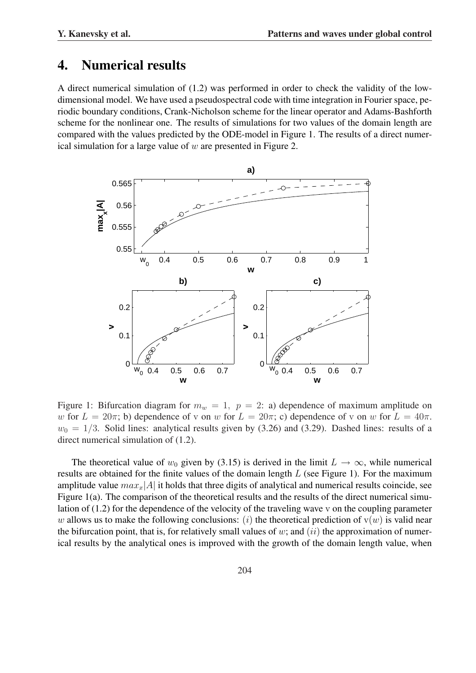## 4. Numerical results

A direct numerical simulation of (1.2) was performed in order to check the validity of the lowdimensional model. We have used a pseudospectral code with time integration in Fourier space, periodic boundary conditions, Crank-Nicholson scheme for the linear operator and Adams-Bashforth scheme for the nonlinear one. The results of simulations for two values of the domain length are compared with the values predicted by the ODE-model in Figure 1. The results of a direct numerical simulation for a large value of  $w$  are presented in Figure 2.



Figure 1: Bifurcation diagram for  $m_w = 1$ ,  $p = 2$ : a) dependence of maximum amplitude on w for  $L = 20\pi$ ; b) dependence of v on w for  $L = 20\pi$ ; c) dependence of v on w for  $L = 40\pi$ .  $w_0 = 1/3$ . Solid lines: analytical results given by (3.26) and (3.29). Dashed lines: results of a direct numerical simulation of (1.2).

The theoretical value of  $w_0$  given by (3.15) is derived in the limit  $L \to \infty$ , while numerical results are obtained for the finite values of the domain length  $L$  (see Figure 1). For the maximum amplitude value  $max_x|A|$  it holds that three digits of analytical and numerical results coincide, see Figure 1(a). The comparison of the theoretical results and the results of the direct numerical simulation of (1.2) for the dependence of the velocity of the traveling wave v on the coupling parameter w allows us to make the following conclusions: (i) the theoretical prediction of  $v(w)$  is valid near the bifurcation point, that is, for relatively small values of  $w$ ; and  $(ii)$  the approximation of numerical results by the analytical ones is improved with the growth of the domain length value, when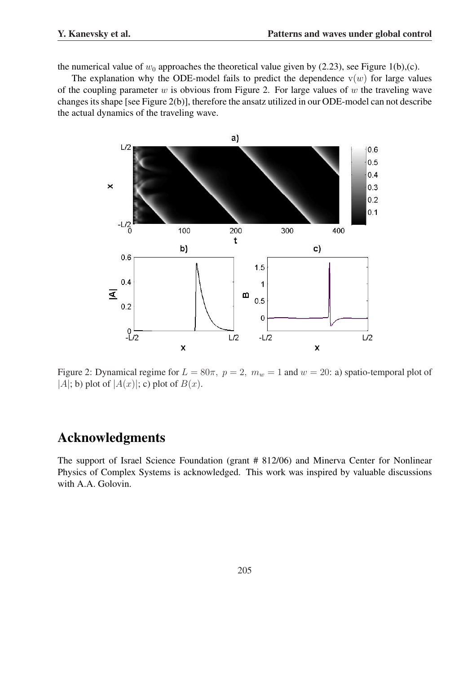the numerical value of  $w_0$  approaches the theoretical value given by (2.23), see Figure 1(b),(c).

The explanation why the ODE-model fails to predict the dependence  $v(w)$  for large values of the coupling parameter  $w$  is obvious from Figure 2. For large values of  $w$  the traveling wave changes its shape [see Figure 2(b)], therefore the ansatz utilized in our ODE-model can not describe the actual dynamics of the traveling wave.



Figure 2: Dynamical regime for  $L = 80\pi$ ,  $p = 2$ ,  $m_w = 1$  and  $w = 20$ : a) spatio-temporal plot of |A|; b) plot of  $|A(x)|$ ; c) plot of  $B(x)$ .

# Acknowledgments

The support of Israel Science Foundation (grant # 812/06) and Minerva Center for Nonlinear Physics of Complex Systems is acknowledged. This work was inspired by valuable discussions with A.A. Golovin.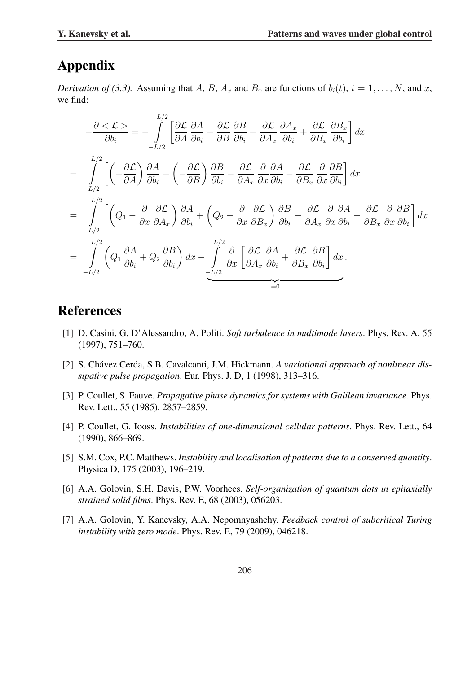# Appendix

*Derivation of (3.3).* Assuming that A, B,  $A_x$  and  $B_x$  are functions of  $b_i(t)$ ,  $i = 1, ..., N$ , and x, we find:

$$
-\frac{\partial \leq \mathcal{L} \geq}{\partial b_i} = -\int_{-L/2}^{L/2} \left[ \frac{\partial \mathcal{L}}{\partial A} \frac{\partial A}{\partial b_i} + \frac{\partial \mathcal{L}}{\partial B} \frac{\partial B}{\partial b_i} + \frac{\partial \mathcal{L}}{\partial A_x} \frac{\partial A_x}{\partial b_i} + \frac{\partial \mathcal{L}}{\partial B_x} \frac{\partial B_x}{\partial b_i} \right] dx
$$
  
\n
$$
= \int_{-L/2}^{L/2} \left[ \left( -\frac{\partial \mathcal{L}}{\partial A} \right) \frac{\partial A}{\partial b_i} + \left( -\frac{\partial \mathcal{L}}{\partial B} \right) \frac{\partial B}{\partial b_i} - \frac{\partial \mathcal{L}}{\partial A_x} \frac{\partial A}{\partial x} \frac{\partial A}{\partial b_i} - \frac{\partial \mathcal{L}}{\partial B_x} \frac{\partial A}{\partial x} \frac{\partial B}{\partial b_i} \right] dx
$$
  
\n
$$
= \int_{-L/2}^{L/2} \left[ \left( Q_1 - \frac{\partial}{\partial x} \frac{\partial \mathcal{L}}{\partial A_x} \right) \frac{\partial A}{\partial b_i} + \left( Q_2 - \frac{\partial}{\partial x} \frac{\partial \mathcal{L}}{\partial B_x} \right) \frac{\partial B}{\partial b_i} - \frac{\partial \mathcal{L}}{\partial A_x} \frac{\partial A}{\partial x} \frac{\partial A}{\partial b_i} - \frac{\partial \mathcal{L}}{\partial B_x} \frac{\partial A}{\partial x} \frac{\partial B}{\partial b_i} \right] dx
$$
  
\n
$$
= \int_{-L/2}^{L/2} \left( Q_1 \frac{\partial A}{\partial b_i} + Q_2 \frac{\partial B}{\partial b_i} \right) dx - \int_{-L/2}^{L/2} \frac{\partial}{\partial x} \left[ \frac{\partial \mathcal{L}}{\partial A_x} \frac{\partial A}{\partial b_i} + \frac{\partial \mathcal{L}}{\partial B_x} \frac{\partial B}{\partial b_i} \right] dx.
$$

## References

- [1] D. Casini, G. D'Alessandro, A. Politi. *Soft turbulence in multimode lasers*. Phys. Rev. A, 55 (1997), 751–760.
- [2] S. Chávez Cerda, S.B. Cavalcanti, J.M. Hickmann. A variational approach of nonlinear dis*sipative pulse propagation*. Eur. Phys. J. D, 1 (1998), 313–316.
- [3] P. Coullet, S. Fauve. *Propagative phase dynamics for systems with Galilean invariance*. Phys. Rev. Lett., 55 (1985), 2857–2859.
- [4] P. Coullet, G. Iooss. *Instabilities of one-dimensional cellular patterns*. Phys. Rev. Lett., 64 (1990), 866–869.
- [5] S.M. Cox, P.C. Matthews. *Instability and localisation of patterns due to a conserved quantity*. Physica D, 175 (2003), 196–219.
- [6] A.A. Golovin, S.H. Davis, P.W. Voorhees. *Self-organization of quantum dots in epitaxially strained solid films*. Phys. Rev. E, 68 (2003), 056203.
- [7] A.A. Golovin, Y. Kanevsky, A.A. Nepomnyashchy. *Feedback control of subcritical Turing instability with zero mode*. Phys. Rev. E, 79 (2009), 046218.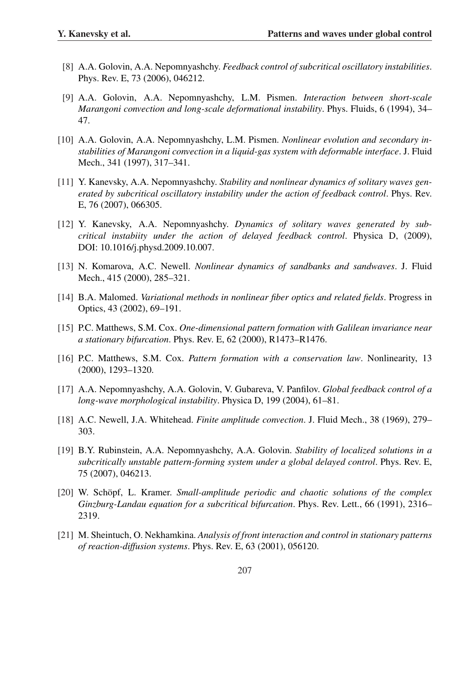- [8] A.A. Golovin, A.A. Nepomnyashchy. *Feedback control of subcritical oscillatory instabilities*. Phys. Rev. E, 73 (2006), 046212.
- [9] A.A. Golovin, A.A. Nepomnyashchy, L.M. Pismen. *Interaction between short-scale Marangoni convection and long-scale deformational instability*. Phys. Fluids, 6 (1994), 34– 47.
- [10] A.A. Golovin, A.A. Nepomnyashchy, L.M. Pismen. *Nonlinear evolution and secondary instabilities of Marangoni convection in a liquid-gas system with deformable interface*. J. Fluid Mech., 341 (1997), 317–341.
- [11] Y. Kanevsky, A.A. Nepomnyashchy. *Stability and nonlinear dynamics of solitary waves generated by subcritical oscillatory instability under the action of feedback control*. Phys. Rev. E, 76 (2007), 066305.
- [12] Y. Kanevsky, A.A. Nepomnyashchy. *Dynamics of solitary waves generated by subcritical instabiity under the action of delayed feedback control*. Physica D, (2009), DOI: 10.1016/j.physd.2009.10.007.
- [13] N. Komarova, A.C. Newell. *Nonlinear dynamics of sandbanks and sandwaves*. J. Fluid Mech., 415 (2000), 285–321.
- [14] B.A. Malomed. *Variational methods in nonlinear fiber optics and related fields*. Progress in Optics, 43 (2002), 69–191.
- [15] P.C. Matthews, S.M. Cox. *One-dimensional pattern formation with Galilean invariance near a stationary bifurcation*. Phys. Rev. E, 62 (2000), R1473–R1476.
- [16] P.C. Matthews, S.M. Cox. *Pattern formation with a conservation law*. Nonlinearity, 13 (2000), 1293–1320.
- [17] A.A. Nepomnyashchy, A.A. Golovin, V. Gubareva, V. Panfilov. *Global feedback control of a long-wave morphological instability*. Physica D, 199 (2004), 61–81.
- [18] A.C. Newell, J.A. Whitehead. *Finite amplitude convection*. J. Fluid Mech., 38 (1969), 279– 303.
- [19] B.Y. Rubinstein, A.A. Nepomnyashchy, A.A. Golovin. *Stability of localized solutions in a subcritically unstable pattern-forming system under a global delayed control. Phys. Rev. E,* 75 (2007), 046213.
- [20] W. Schöpf, L. Kramer. Small-amplitude periodic and chaotic solutions of the complex *Ginzburg-Landau equation for a subcritical bifurcation*. Phys. Rev. Lett., 66 (1991), 2316– 2319.
- [21] M. Sheintuch, O. Nekhamkina. *Analysis of front interaction and control in stationary patterns of reaction-diffusion systems*. Phys. Rev. E, 63 (2001), 056120.